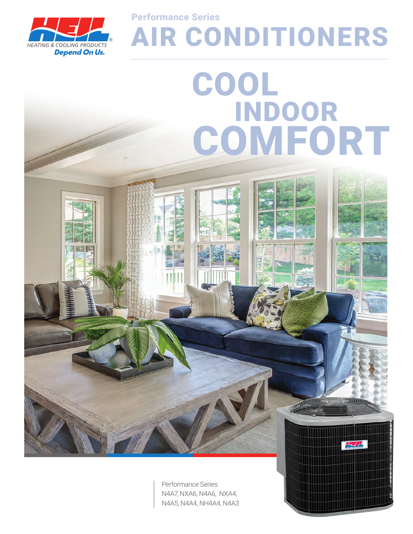

AIR CONDITIONERS Performance Series

# COOL INDOOR **COMFORT**

Performance Series N4A7, NXA6, N4A6, NXA4, N4A5, N4A4, NH4A4, N4A3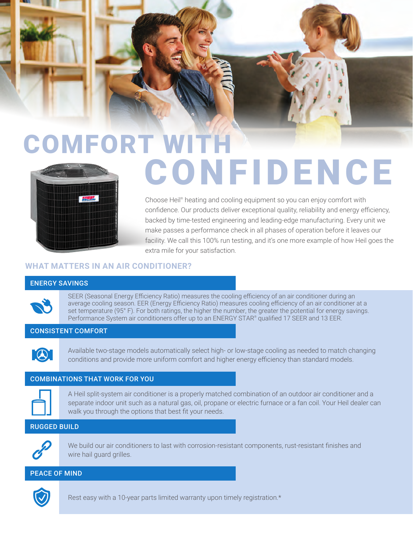# COMFORT WITH **CONFIDENCE**



Choose Heil® heating and cooling equipment so you can enjoy comfort with confidence. Our products deliver exceptional quality, reliability and energy efficiency, backed by time-tested engineering and leading-edge manufacturing. Every unit we make passes a performance check in all phases of operation before it leaves our facility. We call this 100% run testing, and it's one more example of how Heil goes the extra mile for your satisfaction.

# **WHAT MATTERS IN AN AIR CONDITIONER?**

#### ENERGY SAVINGS

SEER (Seasonal Energy Efficiency Ratio) measures the cooling efficiency of an air conditioner during an average cooling season. EER (Energy Efficiency Ratio) measures cooling efficiency of an air conditioner at a set temperature (95° F). For both ratings, the higher the number, the greater the potential for energy savings. Performance System air conditioners offer up to an ENERGY STAR® qualified 17 SEER and 13 EER.

# CONSISTENT COMFORT



Available two-stage models automatically select high- or low-stage cooling as needed to match changing conditions and provide more uniform comfort and higher energy efficiency than standard models.

#### COMBINATIONS THAT WORK FOR YOU



A Heil split-system air conditioner is a properly matched combination of an outdoor air conditioner and a separate indoor unit such as a natural gas, oil, propane or electric furnace or a fan coil. Your Heil dealer can walk you through the options that best fit your needs.

# RUGGED BUILD



We build our air conditioners to last with corrosion-resistant components, rust-resistant finishes and wire hail guard grilles.

#### PEACE OF MIND



Rest easy with a 10-year parts limited warranty upon timely registration.\*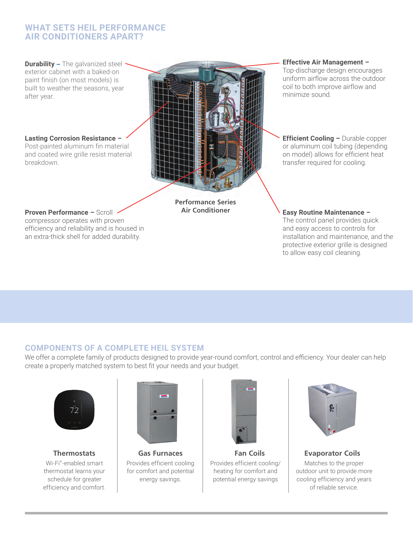# **WHAT SETS HEIL PERFORMANCE AIR CONDITIONERS APART?**

**Durability** – The galvanized steel exterior cabinet with a baked-on paint finish (on most models) is built to weather the seasons, year after year.

**Lasting Corrosion Resistance –** 

Post-painted aluminum fin material and coated wire grille resist material breakdown.

#### **Proven Performance –** Scroll

compressor operates with proven efficiency and reliability and is housed in an extra-thick shell for added durability.

**Performance Series Air Conditioner**

**Effective Air Management –** 

Top-discharge design encourages uniform airflow across the outdoor coil to both improve airflow and minimize sound.

**Efficient Cooling - Durable copper** or aluminum coil tubing (depending on model) allows for efficient heat transfer required for cooling.

**Easy Routine Maintenance –** 

The control panel provides quick and easy access to controls for installation and maintenance, and the protective exterior grille is designed to allow easy coil cleaning.

# **COMPONENTS OF A COMPLETE HEIL SYSTEM**

We offer a complete family of products designed to provide year-round comfort, control and efficiency. Your dealer can help create a properly matched system to best fit your needs and your budget.



Wi-Fi® -enabled smart thermostat learns your schedule for greater efficiency and comfort.



Provides efficient cooling for comfort and potential energy savings.



**Thermostats Gas Furnaces Fan Coils Evaporator Coils** Provides efficient cooling/ heating for comfort and potential energy savings



Matches to the proper outdoor unit to provide more cooling efficiency and years of reliable service.